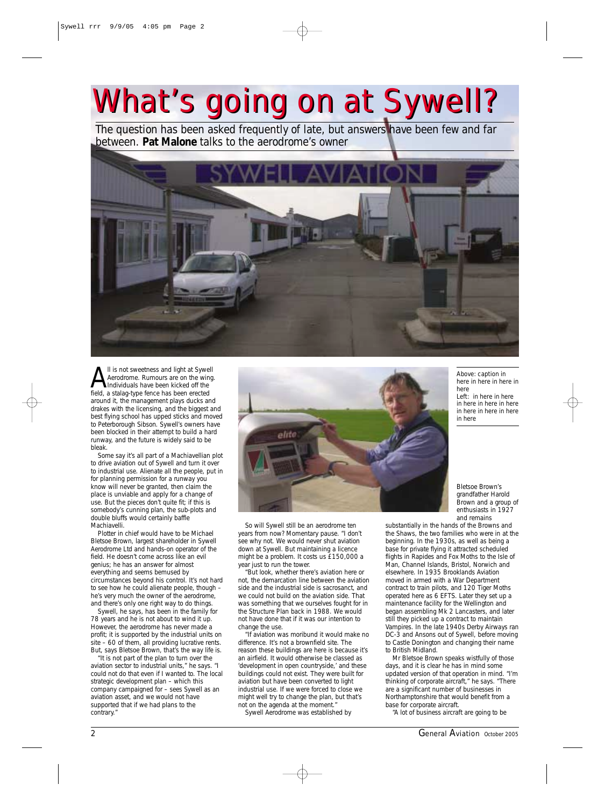## *What's going on at Sywell? What's going on at Sywell?*

*The question has been asked frequently of late, but answers have been few and far between. Pat Malone talks to the aerodrome's owner*



I is not sweetness and light at Sywell<br>Aerodrome. Rumours are on the wing<br>Individuals have been kicked off the<br>field a stalag-type fence has been erected Aerodrome. Rumours are on the wing. field, a stalag-type fence has been erected around it, the management plays ducks and drakes with the licensing, and the biggest and best flying school has upped sticks and moved to Peterborough Sibson. Sywell's owners have been blocked in their attempt to build a hard runway, and the future is widely said to be bleak.

Some say it's all part of a Machiavellian plot to drive aviation out of Sywell and turn it over to industrial use. Alienate all the people, put in for planning permission for a runway you know will never be granted, then claim the place is unviable and apply for a change of use. But the pieces don't quite fit; if this is somebody's cunning plan, the sub-plots and double bluffs would certainly baffle Machiavelli.

Plotter in chief would have to be Michael Bletsoe Brown, largest shareholder in Sywell Aerodrome Ltd and hands-on operator of the field. He doesn't come across like an evil genius; he has an answer for almost everything and seems bemused by circumstances beyond his control. It's not hard to see how he could alienate people, though – he's very much the owner of the aerodrome, and there's only one right way to do things.

Sywell, he says, has been in the family for 78 years and he is not about to wind it up. However, the aerodrome has never made a profit; it is supported by the industrial units on site – 60 of them, all providing lucrative rents. But, says Bletsoe Brown, that's the way life is. "It is not part of the plan to turn over the

aviation sector to industrial units," he says. "I could not do that even if I wanted to. The local strategic development plan – which this company campaigned for – sees Sywell as an aviation asset, and we would not have supported that if we had plans to the contrary."



So will Sywell still be an aerodrome ten years from now? Momentary pause. "I don't see why not. We would never shut aviation down at Sywell. But maintaining a licence might be a problem. It costs us £150,000 a year just to run the tower.

"But look, whether there's aviation here or not, the demarcation line between the aviation side and the industrial side is sacrosanct, and we could not build on the aviation side. That was something that we ourselves fought for in the Structure Plan back in 1988. We would not have done that if it was our intention to change the use.

"If aviation was moribund it would make no difference. It's not a brownfield site. The reason these buildings are here is because it's an airfield. It would otherwise be classed as 'development in open countryside,' and these buildings could not exist. They were built for aviation but have been converted to light industrial use. If we were forced to close we might well try to change the plan, but that's not on the agenda at the moment." Sywell Aerodrome was established by

*Above: caption in here in here in here in here Left: in here in here in here in here in here in here in here in here in here*

Bletsoe Brown's grandfather Harold Brown and a group of enthusiasts in 1927 and remains

substantially in the hands of the Browns and the Shaws, the two families who were in at the beginning. In the 1930s, as well as being a base for private flying it attracted scheduled flights in Rapides and Fox Moths to the Isle of Man, Channel Islands, Bristol, Norwich and elsewhere. In 1935 Brooklands Aviation moved in armed with a War Department contract to train pilots, and 120 Tiger Moths operated here as 6 EFTS. Later they set up a maintenance facility for the Wellington and began assembling Mk 2 Lancasters, and later still they picked up a contract to maintain Vampires. In the late 1940s Derby Airways ran DC-3 and Ansons out of Sywell, before moving to Castle Donington and changing their name to British Midland.

Mr Bletsoe Brown speaks wistfully of those days, and it is clear he has in mind some updated version of that operation in mind. "I'm thinking of corporate aircraft," he says. "There are a significant number of businesses in Northamptonshire that would benefit from a base for corporate aircraft.

"A lot of business aircraft are going to be